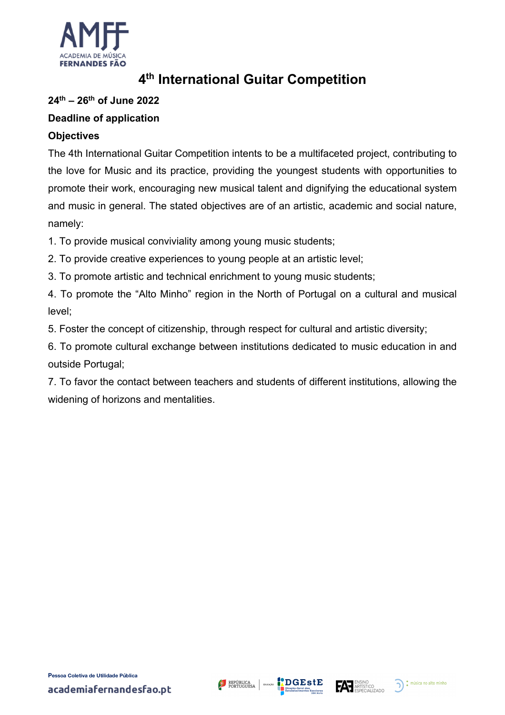

## **4th International Guitar Competition**

## **24th – 26th of June 2022**

## **Deadline of application**

#### **Objectives**

The 4th International Guitar Competition intents to be a multifaceted project, contributing to the love for Music and its practice, providing the youngest students with opportunities to promote their work, encouraging new musical talent and dignifying the educational system and music in general. The stated objectives are of an artistic, academic and social nature, namely:

1. To provide musical conviviality among young music students;

2. To provide creative experiences to young people at an artistic level;

3. To promote artistic and technical enrichment to young music students;

4. To promote the "Alto Minho" region in the North of Portugal on a cultural and musical level;

5. Foster the concept of citizenship, through respect for cultural and artistic diversity;

6. To promote cultural exchange between institutions dedicated to music education in and outside Portugal;

7. To favor the contact between teachers and students of different institutions, allowing the widening of horizons and mentalities.





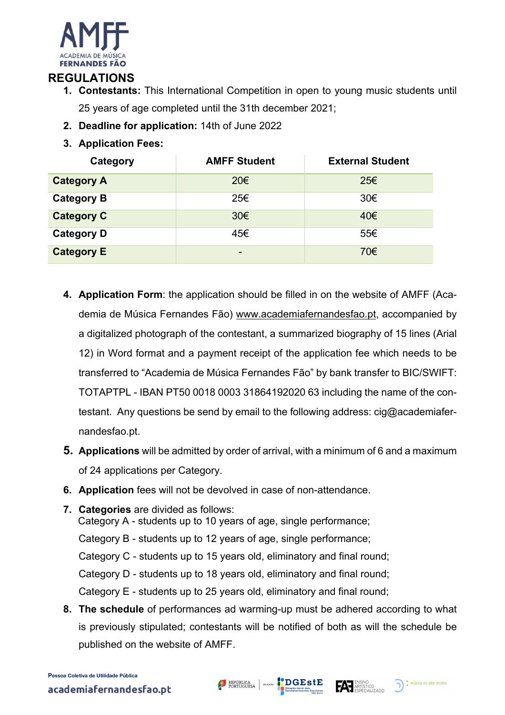

## **REGULATIONS**

- **1. Contestants:** This International Competition in open to young music students until 25 years of age completed until the 31th december 2021;
- **2. Deadline for application:** 14th of June 2022
- **3. Application Fees:**

| Category          | <b>AMFF Student</b> | <b>External Student</b> |
|-------------------|---------------------|-------------------------|
| <b>Category A</b> | 20€                 | 25€                     |
| <b>Category B</b> | 25€                 | 30€                     |
| <b>Category C</b> | 30 <sup>ε</sup>     | 40€                     |
| <b>Category D</b> | 45€                 | 55€                     |
| <b>Category E</b> | -                   | 70€                     |

- **4. Application Form**: the application should be filled in on the website of AMFF (Academia de Música Fernandes Fão) www.academiafernandesfao.pt, accompanied by a digitalized photograph of the contestant, a summarized biography of 15 lines (Arial 12) in Word format and a payment receipt of the application fee which needs to be transferred to "Academia de Música Fernandes Fão" by bank transfer to BIC/SWIFT: TOTAPTPL - IBAN PT50 0018 0003 31864192020 63 including the name of the contestant. Any questions be send by email to the following address: cig@academiafernandesfao.pt.
- **5. Applications** will be admitted by order of arrival, with a minimum of 6 and a maximum of 24 applications per Category.
- **6. Application** fees will not be devolved in case of non-attendance.
- **7. Categories** are divided as follows: Category A - students up to 10 years of age, single performance; Category B - students up to 12 years of age, single performance; Category C - students up to 15 years old, eliminatory and final round; Category D - students up to 18 years old, eliminatory and final round; Category E - students up to 25 years old, eliminatory and final round;
- **8. The schedule** of performances ad warming-up must be adhered according to what is previously stipulated; contestants will be notified of both as will the schedule be published on the website of AMFF.



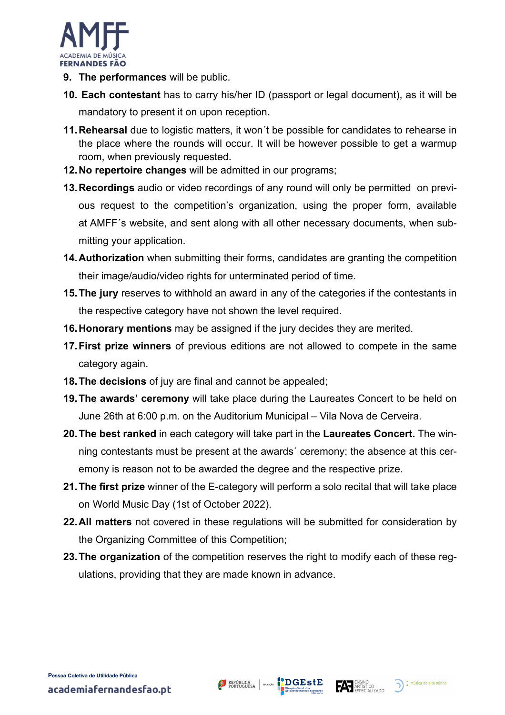

- **9. The performances** will be public.
- **10. Each contestant** has to carry his/her ID (passport or legal document), as it will be mandatory to present it on upon reception**.**
- **11.Rehearsal** due to logistic matters, it won´t be possible for candidates to rehearse in the place where the rounds will occur. It will be however possible to get a warmup room, when previously requested.
- **12.No repertoire changes** will be admitted in our programs;
- **13.Recordings** audio or video recordings of any round will only be permitted on previous request to the competition's organization, using the proper form, available at AMFF´s website, and sent along with all other necessary documents, when submitting your application.
- **14.Authorization** when submitting their forms, candidates are granting the competition their image/audio/video rights for unterminated period of time.
- **15.The jury** reserves to withhold an award in any of the categories if the contestants in the respective category have not shown the level required.
- **16.Honorary mentions** may be assigned if the jury decides they are merited.
- **17.First prize winners** of previous editions are not allowed to compete in the same category again.
- **18.The decisions** of juy are final and cannot be appealed;
- **19.The awards' ceremony** will take place during the Laureates Concert to be held on June 26th at 6:00 p.m. on the Auditorium Municipal – Vila Nova de Cerveira.
- **20.The best ranked** in each category will take part in the **Laureates Concert.** The winning contestants must be present at the awards´ ceremony; the absence at this ceremony is reason not to be awarded the degree and the respective prize.
- **21.The first prize** winner of the E-category will perform a solo recital that will take place on World Music Day (1st of October 2022).
- **22.All matters** not covered in these regulations will be submitted for consideration by the Organizing Committee of this Competition;
- **23.The organization** of the competition reserves the right to modify each of these regulations, providing that they are made known in advance.



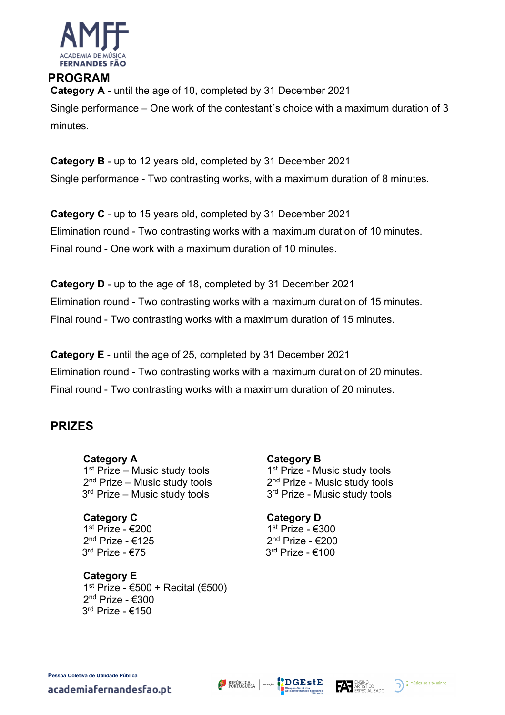

# **PROGRAM Category A** - until the age of 10, completed by 31 December 2021

Single performance – One work of the contestant´s choice with a maximum duration of 3 minutes.

**Category B** - up to 12 years old, completed by 31 December 2021 Single performance - Two contrasting works, with a maximum duration of 8 minutes.

**Category C** - up to 15 years old, completed by 31 December 2021 Elimination round - Two contrasting works with a maximum duration of 10 minutes. Final round - One work with a maximum duration of 10 minutes.

**Category D** - up to the age of 18, completed by 31 December 2021 Elimination round - Two contrasting works with a maximum duration of 15 minutes. Final round - Two contrasting works with a maximum duration of 15 minutes.

**Category E** - until the age of 25, completed by 31 December 2021 Elimination round - Two contrasting works with a maximum duration of 20 minutes. Final round - Two contrasting works with a maximum duration of 20 minutes.

## **PRIZES**

**Category A** 1<sup>st</sup> Prize – Music study tools 2<sup>nd</sup> Prize – Music study tools 3<sup>rd</sup> Prize – Music study tools

**Category C** 1st Prize - €200 2<sup>nd</sup> Prize - €125 3rd Prize - €75

**Category E** 1<sup>st</sup> Prize - €500 + Recital (€500) 2<sup>nd</sup> Prize - €300 3rd Prize - €150

**Category B** 1<sup>st</sup> Prize - Music study tools 2<sup>nd</sup> Prize - Music study tools 3<sup>rd</sup> Prize - Music study tools

**Category D** 1st Prize - €300 2<sup>nd</sup> Prize - €200 3rd Prize - €100

academiafernandesfao.pt



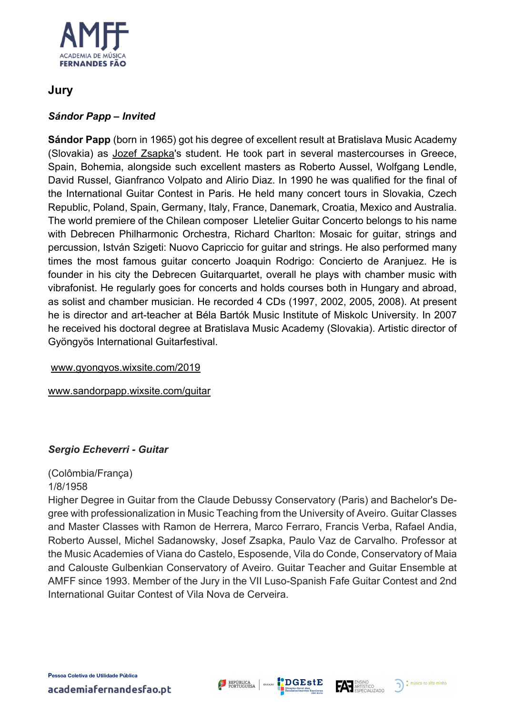

## **Jury**

#### *Sándor Papp – Invited*

**Sándor Papp** (born in 1965) got his degree of excellent result at Bratislava Music Academy (Slovakia) as Jozef Zsapka's student. He took part in several mastercourses in Greece, Spain, Bohemia, alongside such excellent masters as Roberto Aussel, Wolfgang Lendle, David Russel, Gianfranco Volpato and Alirio Diaz. In 1990 he was qualified for the final of the International Guitar Contest in Paris. He held many concert tours in Slovakia, Czech Republic, Poland, Spain, Germany, Italy, France, Danemark, Croatia, Mexico and Australia. The world premiere of the Chilean composer Lletelier Guitar Concerto belongs to his name with Debrecen Philharmonic Orchestra, Richard Charlton: Mosaic for guitar, strings and percussion, István Szigeti: Nuovo Capriccio for guitar and strings. He also performed many times the most famous guitar concerto Joaquin Rodrigo: Concierto de Aranjuez. He is founder in his city the Debrecen Guitarquartet, overall he plays with chamber music with vibrafonist. He regularly goes for concerts and holds courses both in Hungary and abroad, as solist and chamber musician. He recorded 4 CDs (1997, 2002, 2005, 2008). At present he is director and art-teacher at Béla Bartók Music Institute of Miskolc University. In 2007 he received his doctoral degree at Bratislava Music Academy (Slovakia). Artistic director of Gyöngyös International Guitarfestival.

www.gyongyos.wixsite.com/2019

www.sandorpapp.wixsite.com/guitar

#### *Sergio Echeverri - Guitar*

(Colômbia/França)

1/8/1958

Higher Degree in Guitar from the Claude Debussy Conservatory (Paris) and Bachelor's Degree with professionalization in Music Teaching from the University of Aveiro. Guitar Classes and Master Classes with Ramon de Herrera, Marco Ferraro, Francis Verba, Rafael Andia, Roberto Aussel, Michel Sadanowsky, Josef Zsapka, Paulo Vaz de Carvalho. Professor at the Music Academies of Viana do Castelo, Esposende, Vila do Conde, Conservatory of Maia and Calouste Gulbenkian Conservatory of Aveiro. Guitar Teacher and Guitar Ensemble at AMFF since 1993. Member of the Jury in the VII Luso-Spanish Fafe Guitar Contest and 2nd International Guitar Contest of Vila Nova de Cerveira.